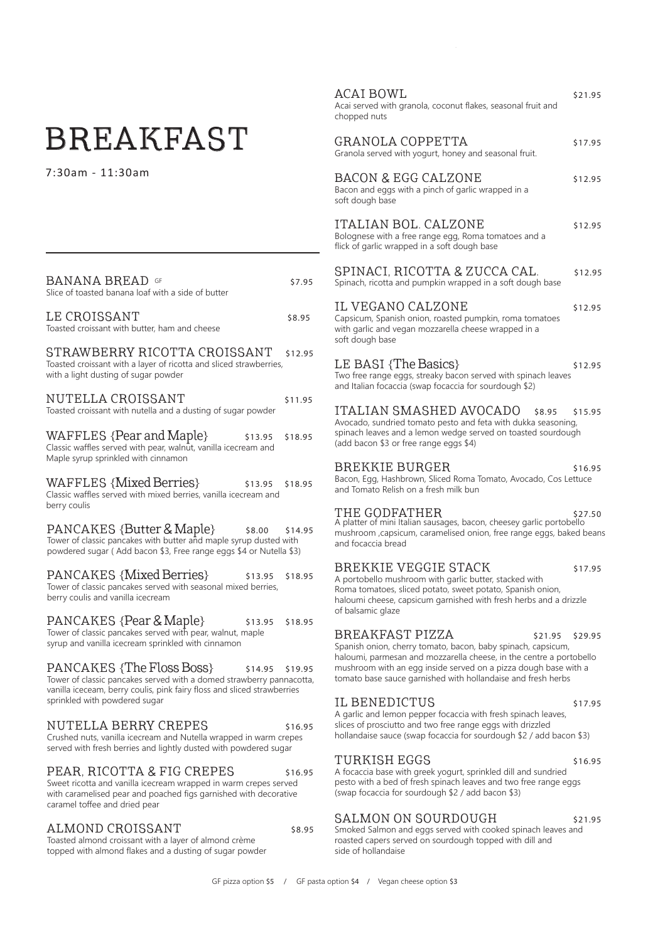# BREAKFAST

7:30am - 11:30am

| <b>BANANA BREAD</b> GF<br>Slice of toasted banana loaf with a side of butter                                                                                                                                                    | \$7.95  |
|---------------------------------------------------------------------------------------------------------------------------------------------------------------------------------------------------------------------------------|---------|
| LE CROISSANT<br>Toasted croissant with butter, ham and cheese                                                                                                                                                                   | \$8.95  |
| STRAWBERRY RICOTTA CROISSANT<br>Toasted croissant with a layer of ricotta and sliced strawberries,<br>with a light dusting of sugar powder                                                                                      | \$12.95 |
| NUTELLA CROISSANT<br>Toasted croissant with nutella and a dusting of sugar powder                                                                                                                                               | \$11.95 |
| WAFFLES {Pear and Maple}<br>\$13.95<br>Classic waffles served with pear, walnut, vanilla icecream and<br>Maple syrup sprinkled with cinnamon                                                                                    | \$18.95 |
| WAFFLES {Mixed Berries}<br>\$13.95<br>Classic waffles served with mixed berries, vanilla icecream and<br>berry coulis                                                                                                           | \$18.95 |
| PANCAKES {Butter & Maple} \$8.00 \$14<br>Tower of classic pancakes with butter and maple syrup dusted with<br>powdered sugar (Add bacon \$3, Free range eggs \$4 or Nutella \$3)                                                | \$14.95 |
| <b>PANCAKES {Mixed Berries}</b><br>\$13.95<br>Tower of classic pancakes served with seasonal mixed berries,<br>berry coulis and vanilla icecream                                                                                | \$18.95 |
| PANCAKES {Pear & Maple}<br>\$13.95<br>Tower of classic pancakes served with pear, walnut, maple<br>syrup and vanilla icecream sprinkled with cinnamon                                                                           | \$18.95 |
| <b>PANCAKES {The Floss Boss}</b><br>\$14.95<br>Tower of classic pancakes served with a domed strawberry pannacotta,<br>vanilla iceceam, berry coulis, pink fairy floss and sliced strawberries<br>sprinkled with powdered sugar | \$19.95 |

NUTELLA BERRY CREPES \$16.95 Crushed nuts, vanilla icecream and Nutella wrapped in warm crepes served with fresh berries and lightly dusted with powdered sugar

#### PEAR, RICOTTA & FIG CREPES \$16.95 Sweet ricotta and vanilla icecream wrapped in warm crepes served with caramelised pear and poached figs garnished with decorative

#### ALMOND CROISSANT 58.95

caramel toffee and dried pear

Toasted almond croissant with a layer of almond crème topped with almond flakes and a dusting of sugar powder

 $ACAI BOWL$  \$21.95 Acai served with granola, coconut flakes, seasonal fruit and chopped nuts GRANOLA COPPETTA  $$17.95$ Granola served with yogurt, honey and seasonal fruit. BACON & EGG CALZONE \$12.95 Bacon and eggs with a pinch of garlic wrapped in a soft dough base ITALIAN BOL. CALZONE \$12.95 Bolognese with a free range egg, Roma tomatoes and a flick of garlic wrapped in a soft dough base SPINACI, RICOTTA & ZUCCA CAL. \$12.95 Spinach, ricotta and pumpkin wrapped in a soft dough base IL VEGANO CALZONE \$12.95 Capsicum, Spanish onion, roasted pumpkin, roma tomatoes with garlic and vegan mozzarella cheese wrapped in a soft dough base LE BASI  $\{The \; Basics\}$   $$12.95$ Two free range eggs, streaky bacon served with spinach leaves and Italian focaccia (swap focaccia for sourdough \$2) ITALIAN SMASHED AVOCADO \$8.95 \$15.95 Avocado, sundried tomato pesto and feta with dukka seasoning, spinach leaves and a lemon wedge served on toasted sourdough (add bacon \$3 or free range eggs \$4) BREKKIE BURGER \$16.95 Bacon, Egg, Hashbrown, Sliced Roma Tomato, Avocado, Cos Lettuce and Tomato Relish on a fresh milk bun THE GODFATHER \$27.50 A platter of mini Italian sausages, bacon, cheesey garlic portobello mushroom ,capsicum, caramelised onion, free range eggs, baked beans and focaccia bread BREKKIE VEGGIE STACK \$17.95 A portobello mushroom with garlic butter, stacked with Roma tomatoes, sliced potato, sweet potato, Spanish onion, haloumi cheese, capsicum garnished with fresh herbs and a drizzle of balsamic glaze BREAKFAST PIZZA \$21.95 \$29.95 Spanish onion, cherry tomato, bacon, baby spinach, capsicum, haloumi, parmesan and mozzarella cheese, in the centre a portobello mushroom with an egg inside served on a pizza dough base with a tomato base sauce garnished with hollandaise and fresh herbs IL BENEDICTUS \$17.95 A garlic and lemon pepper focaccia with fresh spinach leaves, slices of prosciutto and two free range eggs with drizzled hollandaise sauce (swap focaccia for sourdough \$2 / add bacon \$3) TURKISH EGGS \$16.95 A focaccia base with greek yogurt, sprinkled dill and sundried pesto with a bed of fresh spinach leaves and two free range eggs

#### SALMON ON SOURDOUGH \$21.95

(swap focaccia for sourdough \$2 / add bacon \$3)

Smoked Salmon and eggs served with cooked spinach leaves and roasted capers served on sourdough topped with dill and side of hollandaise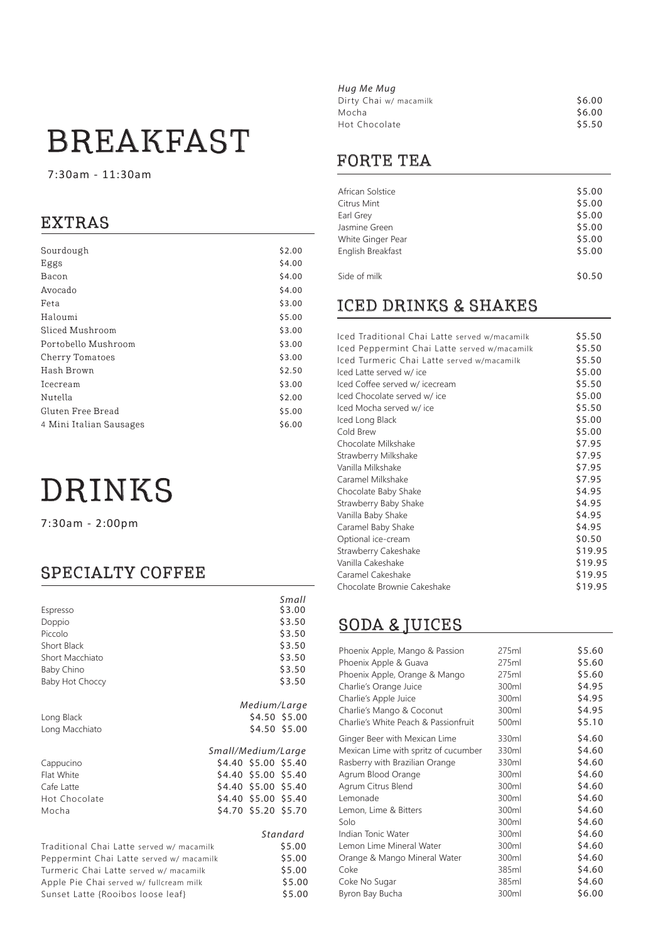# BREAKFAST

7:30am - 11:30am

# EXTRAS

| Sourdough               | \$2.00 |
|-------------------------|--------|
| Eggs                    | \$4.00 |
| Bacon                   | \$4.00 |
| Avocado                 | \$4.00 |
| Feta                    | \$3.00 |
| Haloumi                 | \$5.00 |
| Sliced Mushroom         | \$3.00 |
| Portobello Mushroom     | \$3.00 |
| Cherry Tomatoes         | \$3.00 |
| Hash Brown              | \$2.50 |
| <b>Icecream</b>         | \$3.00 |
| Nutella                 | \$2.00 |
| Gluten Free Bread       | \$5.00 |
| 4 Mini Italian Sausages | \$6.00 |
|                         |        |

# DRINKS

7:30am - 2:00pm

# SPECIALTY COFFEE

|                                                                                    |                    |                      | Small         |
|------------------------------------------------------------------------------------|--------------------|----------------------|---------------|
| Espresso                                                                           |                    |                      | \$3.00        |
| Doppio                                                                             |                    |                      | \$3.50        |
| Piccolo                                                                            |                    |                      | \$3.50        |
| Short Black                                                                        |                    |                      | \$3.50        |
| Short Macchiato                                                                    |                    |                      | \$3.50        |
| Baby Chino                                                                         |                    |                      | \$3.50        |
| Baby Hot Choccy                                                                    |                    |                      | \$3.50        |
|                                                                                    |                    | Medium/Large         |               |
| Long Black                                                                         |                    |                      | \$4.50 \$5.00 |
| Long Macchiato                                                                     |                    |                      | \$4.50 \$5.00 |
|                                                                                    |                    |                      |               |
|                                                                                    | Small/Medium/Large |                      |               |
| Cappucino                                                                          |                    | \$4.40 \$5.00 \$5.40 |               |
| Flat White                                                                         |                    | \$4.40 \$5.00 \$5.40 |               |
| Cafe Latte                                                                         |                    | \$4.40 \$5.00 \$5.40 |               |
| Hot Chocolate                                                                      |                    | \$4.40 \$5.00 \$5.40 |               |
| Mocha                                                                              |                    | \$4.70 \$5.20 \$5.70 |               |
|                                                                                    |                    |                      | Standard      |
| Traditional Chai Latte served w/ macamilk                                          |                    |                      | \$5.00        |
|                                                                                    |                    |                      | \$5.00        |
| Peppermint Chai Latte served w/ macamilk<br>Turmeric Chai Latte served w/ macamilk |                    |                      | \$5.00        |
| Apple Pie Chai served w/ fullcream milk                                            |                    |                      | \$5.00        |
| Sunset Latte {Rooibos loose leaf}                                                  |                    |                      | \$5.00        |
|                                                                                    |                    |                      |               |

| \$6.00 |
|--------|
| \$6.00 |
| \$5.50 |
|        |

# FORTE TEA

| African Solstice  | \$5.00 |
|-------------------|--------|
| Citrus Mint       | \$5.00 |
| Earl Grey         | \$5.00 |
| Jasmine Green     | \$5.00 |
| White Ginger Pear | \$5.00 |
| English Breakfast | \$5.00 |
|                   |        |
| Side of milk      | \$0.50 |

# ICED DRINKS & SHAKES

| Iced Traditional Chai Latte served w/macamilk | \$5.50  |
|-----------------------------------------------|---------|
| Iced Peppermint Chai Latte served w/macamilk  | \$5.50  |
| Iced Turmeric Chai Latte served w/macamilk    | \$5.50  |
| Iced Latte served w/ ice                      | \$5.00  |
| Iced Coffee served w/ icecream                | \$5.50  |
| Iced Chocolate served w/ice                   | \$5.00  |
| Iced Mocha served w/ice                       | \$5.50  |
|                                               | \$5.00  |
| Iced Long Black                               |         |
| Cold Brew                                     | \$5.00  |
| Chocolate Milkshake                           | \$7.95  |
| Strawberry Milkshake                          | \$7.95  |
| Vanilla Milkshake                             | \$7.95  |
| Caramel Milkshake                             | \$7.95  |
| Chocolate Baby Shake                          | \$4.95  |
| Strawberry Baby Shake                         | \$4.95  |
| Vanilla Baby Shake                            | \$4.95  |
| Caramel Baby Shake                            | \$4.95  |
| Optional ice-cream                            | \$0.50  |
| Strawberry Cakeshake                          | \$19.95 |
| Vanilla Cakeshake                             | \$19.95 |
| Caramel Cakeshake                             | \$19.95 |
| Chocolate Brownie Cakeshake                   | \$19.95 |
|                                               |         |

# SODA & JUICES

| Phoenix Apple, Mango & Passion<br>Phoenix Apple & Guava<br>Phoenix Apple, Orange & Mango<br>Charlie's Orange Juice<br>Charlie's Apple Juice<br>Charlie's Mango & Coconut | 275ml<br>275ml<br>275ml<br>300ml<br>300ml<br>300ml | \$5.60<br>\$5.60<br>\$5.60<br>\$4.95<br>\$4.95<br>\$4.95 |
|--------------------------------------------------------------------------------------------------------------------------------------------------------------------------|----------------------------------------------------|----------------------------------------------------------|
| Charlie's White Peach & Passionfruit                                                                                                                                     | 500ml                                              | \$5.10                                                   |
| Ginger Beer with Mexican Lime                                                                                                                                            | 330ml                                              | \$4.60                                                   |
| Mexican Lime with spritz of cucumber                                                                                                                                     | 330ml                                              | \$4.60                                                   |
| Rasberry with Brazilian Orange                                                                                                                                           | 330ml                                              | \$4.60                                                   |
| Agrum Blood Orange                                                                                                                                                       | 300ml                                              | \$4.60                                                   |
| Agrum Citrus Blend                                                                                                                                                       | 300ml                                              | \$4.60                                                   |
| Lemonade                                                                                                                                                                 | 300ml                                              | \$4.60                                                   |
| Lemon, Lime & Bitters                                                                                                                                                    | 300ml                                              | \$4.60                                                   |
| Solo                                                                                                                                                                     | 300ml                                              | \$4.60                                                   |
| Indian Tonic Water                                                                                                                                                       | 300ml                                              | \$4.60                                                   |
| Lemon Lime Mineral Water                                                                                                                                                 | 300ml                                              | \$4.60                                                   |
| Orange & Mango Mineral Water                                                                                                                                             | 300ml                                              | \$4.60                                                   |
| Coke                                                                                                                                                                     | 385ml                                              | \$4.60                                                   |
| Coke No Sugar                                                                                                                                                            | 385ml                                              | \$4.60                                                   |
| Byron Bay Bucha                                                                                                                                                          | 300ml                                              | \$6.00                                                   |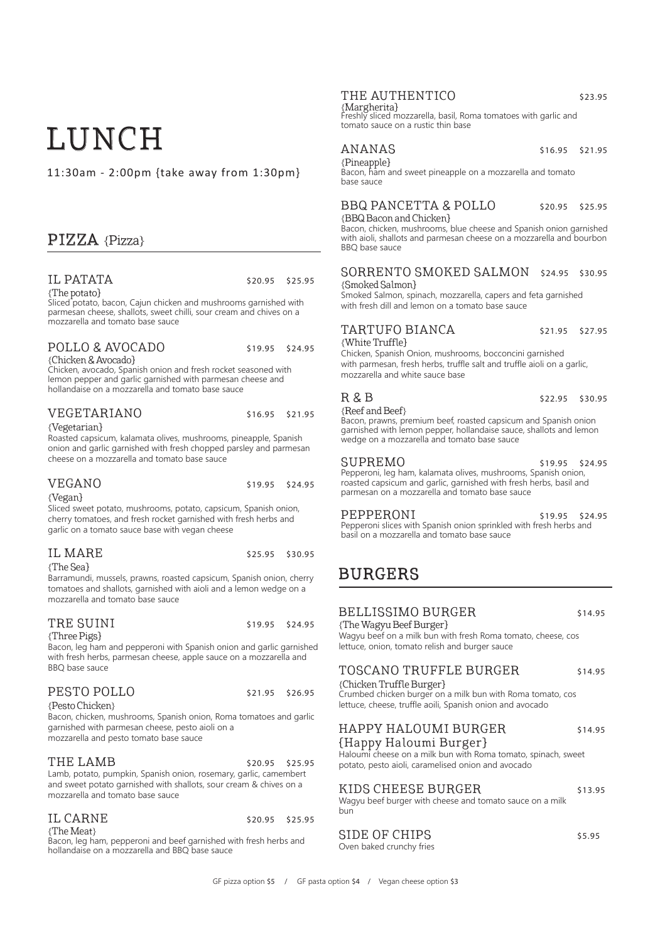# LUNCH

11:30am - 2:00pm {take away from 1:30pm}

## PIZZA {Pizza}

# IL PATATA \$20.95 \$25.95<br>{The potato}

Sliced potato, bacon, Cajun chicken and mushrooms garnished with parmesan cheese, shallots, sweet chilli, sour cream and chives on a mozzarella and tomato base sauce

# POLLO & AVOCADO \$19.95 \$24.95<br>{Chicken & Avocado}

Chicken, avocado, Spanish onion and fresh rocket seasoned with lemon pepper and garlic garnished with parmesan cheese and hollandaise on a mozzarella and tomato base sauce

#### VEGETARIANO \$16.95 \$21.95

{Vegetarian}

Roasted capsicum, kalamata olives, mushrooms, pineapple, Spanish onion and garlic garnished with fresh chopped parsley and parmesan cheese on a mozzarella and tomato base sauce

#### VEGANO \$19.95 \$24.95

{Vegan}

Sliced sweet potato, mushrooms, potato, capsicum, Spanish onion, cherry tomatoes, and fresh rocket garnished with fresh herbs and garlic on a tomato sauce base with vegan cheese

### IL MARE \$25.95 \$30.95

{The Sea}

Barramundi, mussels, prawns, roasted capsicum, Spanish onion, cherry tomatoes and shallots, garnished with aioli and a lemon wedge on a mozzarella and tomato base sauce

#### TRE SUINI \$19.95 \$24.95

{Three Pigs}

Bacon, leg ham and pepperoni with Spanish onion and garlic garnished with fresh herbs, parmesan cheese, apple sauce on a mozzarella and BBQ base sauce

#### PESTO POLLO \$21.95 \$26.95

{Pesto Chicken}

Bacon, chicken, mushrooms, Spanish onion, Roma tomatoes and garlic garnished with parmesan cheese, pesto aioli on a mozzarella and pesto tomato base sauce

## THE LAMB  $$20.95$  \$25.95

Lamb, potato, pumpkin, Spanish onion, rosemary, garlic, camembert and sweet potato garnished with shallots, sour cream & chives on a mozzarella and tomato base sauce

# IL CARNE  $$20.95$  \$25.95 \$25.95

Bacon, leg ham, pepperoni and beef garnished with fresh herbs and hollandaise on a mozzarella and BBQ base sauce

### THE AUTHENTICO \$23.95

{Margherita}<br>Freshly sliced mozzarella, basil, Roma tomatoes with garlic and tomato sauce on a rustic thin base

# ANANAS \$16.95 \$21.95

Bacon, ham and sweet pineapple on a mozzarella and tomato base sauce

# BBQ PANCETTA & POLLO \$20.95 \$25.95<br>{BBQ Bacon and Chicken}

Bacon, chicken, mushrooms, blue cheese and Spanish onion garnished with aioli, shallots and parmesan cheese on a mozzarella and bourbon BBQ base sauce

SORRENTO SMOKED SALMON \$24.95 \$30.95

#### {Smoked Salmon}

Smoked Salmon, spinach, mozzarella, capers and feta garnished with fresh dill and lemon on a tomato base sauce

## TARTUFO BIANCA \$21.95 \$27.95

{White Truffle}

Chicken, Spanish Onion, mushrooms, bocconcini garnished with parmesan, fresh herbs, truffle salt and truffle aioli on a garlic, mozzarella and white sauce base

 $R$  &  $B$   $$22.95$   $$30.95$ <br>{Reef and Beef} {Reef and Beef} Bacon, prawns, premium beef, roasted capsicum and Spanish onion garnished with lemon pepper, hollandaise sauce, shallots and lemon wedge on a mozzarella and tomato base sauce

#### SUPREMO \$19.95 \$24.95

Pepperoni, leg ham, kalamata olives, mushrooms, Spanish onion, roasted capsicum and garlic, garnished with fresh herbs, basil and parmesan on a mozzarella and tomato base sauce

PEPPERONI \$19.95 \$24.95 Pepperoni slices with Spanish onion sprinkled with fresh herbs and basil on a mozzarella and tomato base sauce

# BURGERS

#### BELLISSIMO BURGER \$14.95

{The Wagyu Beef Burger} Wagyu beef on a milk bun with fresh Roma tomato, cheese, cos lettuce, onion, tomato relish and burger sauce

### TOSCANO TRUFFLE BURGER \$14.95

{Chicken Truffle Burger} Crumbed chicken burger on a milk bun with Roma tomato, cos lettuce, cheese, truffle aoili, Spanish onion and avocado

## HAPPY HALOUMI BURGER \$14.95

#### {Happy Haloumi Burger}

Haloumi cheese on a milk bun with Roma tomato, spinach, sweet potato, pesto aioli, caramelised onion and avocado

#### KIDS CHEESE BURGER \$13.95

Wagyu beef burger with cheese and tomato sauce on a milk bun

## SIDE OF CHIPS  $$5.95$

Oven baked crunchy fries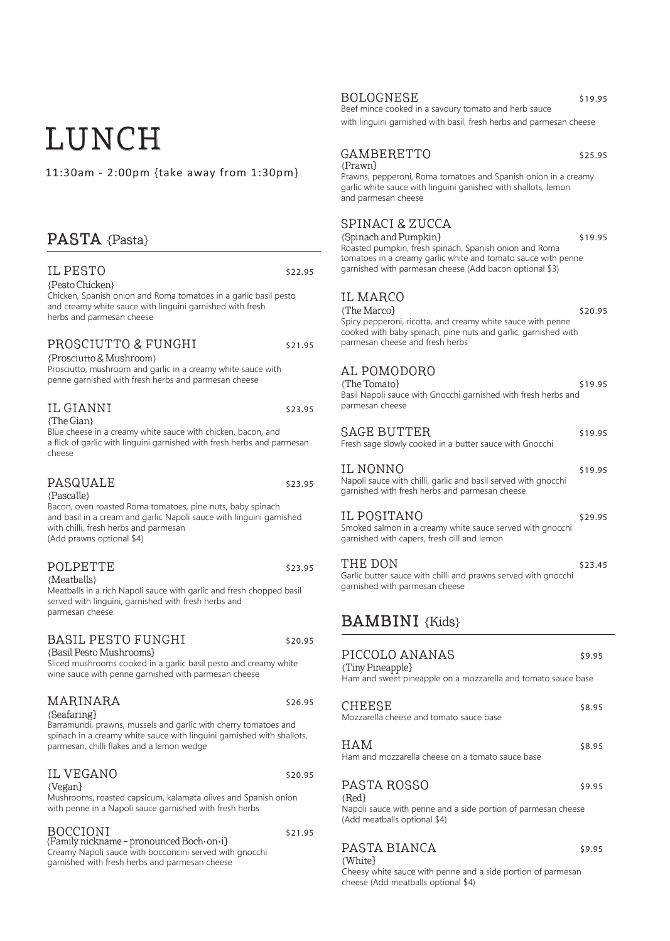# LUNCH

11:30am - 2:00pm {take away from 1:30pm}

# PASTA {Pasta}

### IL PESTO S22.95

{Pesto Chicken}

Chicken, Spanish onion and Roma tomatoes in a garlic basil pesto and creamy white sauce with linguini garnished with fresh herbs and parmesan cheese

#### PROSCIUTTO & FUNGHI \$21.95

{Prosciutto & Mushroom} Prosciutto, mushroom and garlic in a creamy white sauce with penne garnished with fresh herbs and parmesan cheese

#### IL GIANNI \$23.95 {The Gian}

Blue cheese in a creamy white sauce with chicken, bacon, and a flick of garlic with linguini garnished with fresh herbs and parmesan cheese

#### PASQUALE \$23.95

{Pascalle}

Bacon, oven roasted Roma tomatoes, pine nuts, baby spinach and basil in a cream and garlic Napoli sauce with linguini garnished with chilli, fresh herbs and parmesan (Add prawns optional \$4)

#### POLPETTE \$23.95 {Meatballs}

Meatballs in a rich Napoli sauce with garlic and fresh chopped basil served with linguini, garnished with fresh herbs and parmesan cheese

#### BASIL PESTO FUNGHI \$20.95

{Basil Pesto Mushrooms}

Sliced mushrooms cooked in a garlic basil pesto and creamy white wine sauce with penne garnished with parmesan cheese

### MARINARA \$26.95

{Seafaring}

Barramundi, prawns, mussels and garlic with cherry tomatoes and spinach in a creamy white sauce with linguini garnished with shallots, parmesan, chilli flakes and a lemon wedge

### IL VEGANO  $$20.95$

{Vegan}

Mushrooms, roasted capsicum, kalamata olives and Spanish onion with penne in a Napoli sauce garnished with fresh herbs

| <b>BOCCIONI</b>                                         | \$21.95 |
|---------------------------------------------------------|---------|
| {Family nickname - pronounced Boch·on·i}                |         |
| Creamy Napoli sauce with bocconcini served with gnocchi |         |
| garnished with fresh herbs and parmesan cheese          |         |

#### BOLOGNESE \$19.95

Beef mince cooked in a savoury tomato and herb sauce with linguini garnished with basil, fresh herbs and parmesan cheese

#### GAMBERETTO \$25.95 {Prawn}

Prawns, pepperoni, Roma tomatoes and Spanish onion in a creamy garlic white sauce with linguini ganished with shallots, lemon and parmesan cheese

### SPINACI & ZUCCA

{Spinach and Pumpkin} \$19.95 Roasted pumpkin, fresh spinach, Spanish onion and Roma tomatoes in a creamy garlic white and tomato sauce with penne garnished with parmesan cheese (Add bacon optional \$3)

### IL MARCO

 ${The Marco}$  \$20.95 Spicy pepperoni, ricotta, and creamy white sauce with penne cooked with baby spinach, pine nuts and garlic, garnished with parmesan cheese and fresh herbs

### AL POMODORO

 ${ \n *Time* Tomato}$   ${ \n *Simple* Tomato}$ Basil Napoli sauce with Gnocchi garnished with fresh herbs and parmesan cheese SAGE BUTTER \$19.95 Fresh sage slowly cooked in a butter sauce with Gnocchi IL NONNO \$19.95 Napoli sauce with chilli, garlic and basil served with gnocchi garnished with fresh herbs and parmesan cheese IL POSITANO \$29.95 Smoked salmon in a creamy white sauce served with gnocchi garnished with capers, fresh dill and lemon

THE DON  $$23.45$ Garlic butter sauce with chilli and prawns served with gnocchi garnished with parmesan cheese

# **BAMBINI** {Kids}

| PICCOLO ANANAS<br>{Tiny Pineapple}                                                                                      | \$9.95 |
|-------------------------------------------------------------------------------------------------------------------------|--------|
| Ham and sweet pineapple on a mozzarella and tomato sauce base                                                           |        |
| CHEESE<br>Mozzarella cheese and tomato sauce base                                                                       | \$8.95 |
| HAM<br>Ham and mozzarella cheese on a tomato sauce base                                                                 | \$8.95 |
| PASTA ROSSO<br>${Red}$<br>Napoli sauce with penne and a side portion of parmesan cheese<br>(Add meatballs optional \$4) | \$9.95 |
|                                                                                                                         |        |

#### PASTA BIANCA \$9.95 {White}

Cheesy white sauce with penne and a side portion of parmesan cheese (Add meatballs optional \$4)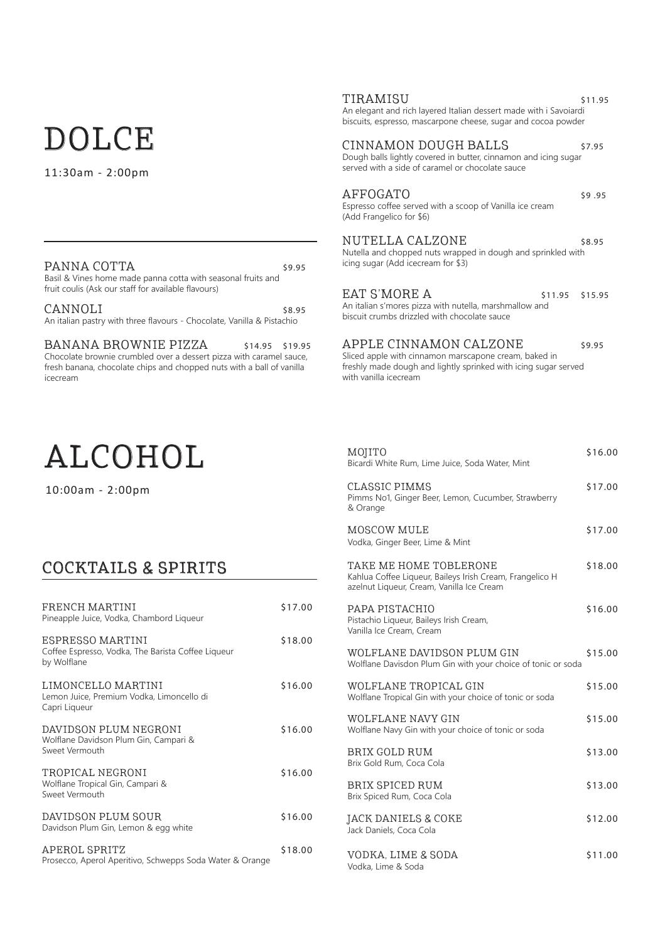# DOLCE

11:30am - 2:00pm

| PANNA COTTA                                                  | \$9.95 |
|--------------------------------------------------------------|--------|
| Basil & Vines home made panna cotta with seasonal fruits and |        |
| fruit coulis (Ask our staff for available flavours)          |        |

 $CANNOLI$  \$8.95 An italian pastry with three flavours - Chocolate, Vanilla & Pistachio

BANANA BROWNIE PIZZA \$14.95 \$19.95 Chocolate brownie crumbled over a dessert pizza with caramel sauce, fresh banana, chocolate chips and chopped nuts with a ball of vanilla icecream

# ALCOHOL

10:00am - 2:00pm

# COCKTAILS & SPIRITS

| FRENCH MARTINI<br>Pineapple Juice, Vodka, Chambord Liqueur                            | \$17.00 |
|---------------------------------------------------------------------------------------|---------|
| ESPRESSO MARTINI<br>Coffee Espresso, Vodka, The Barista Coffee Liqueur<br>by Wolflane | \$18.00 |
| LIMONCELLO MARTINI<br>Lemon Juice, Premium Vodka, Limoncello di<br>Capri Liqueur      | \$16.00 |
| DAVIDSON PLUM NEGRONI<br>Wolflane Davidson Plum Gin, Campari &<br>Sweet Vermouth      | \$16.00 |
| TROPICAL NEGRONI<br>Wolflane Tropical Gin, Campari &<br>Sweet Vermouth                | \$16.00 |
| DAVIDSON PLUM SOUR<br>Davidson Plum Gin, Lemon & egg white                            | \$16.00 |
| APEROL SPRITZ<br>Prosecco, Aperol Aperitivo, Schwepps Soda Water & Orange             | \$18.00 |

#### TIRAMISU \$11.95

An elegant and rich layered Italian dessert made with i Savoiardi biscuits, espresso, mascarpone cheese, sugar and cocoa powder

#### CINNAMON DOUGH BALLS \$7.95

Dough balls lightly covered in butter, cinnamon and icing sugar served with a side of caramel or chocolate sauce

#### AFFOGATO  $\frac{1}{2}$  \$9.95

#### Espresso coffee served with a scoop of Vanilla ice cream (Add Frangelico for \$6)

NUTELLA CALZONE \$8.95 Nutella and chopped nuts wrapped in dough and sprinkled with icing sugar (Add icecream for \$3)

EAT S'MORE A \$11.95 \$15.95 An italian s'mores pizza with nutella, marshmallow and biscuit crumbs drizzled with chocolate sauce

APPLE CINNAMON CALZONE \$9.95

Sliced apple with cinnamon marscapone cream, baked in freshly made dough and lightly sprinked with icing sugar served with vanilla icecream

| MOJITO<br>Bicardi White Rum, Lime Juice, Soda Water, Mint                                                                       | \$16.00 |
|---------------------------------------------------------------------------------------------------------------------------------|---------|
| <b>CLASSIC PIMMS</b><br>Pimms No1, Ginger Beer, Lemon, Cucumber, Strawberry<br>& Orange                                         | \$17.00 |
| MOSCOW MULE<br>Vodka, Ginger Beer, Lime & Mint                                                                                  | \$17.00 |
| TAKE ME HOME TOBLERONE<br>Kahlua Coffee Liqueur, Baileys Irish Cream, Frangelico H<br>azelnut Liqueur, Cream, Vanilla Ice Cream | \$18.00 |
| PAPA PISTACHIO<br>Pistachio Liqueur, Baileys Irish Cream,<br>Vanilla Ice Cream, Cream                                           | \$16.00 |
| WOLFLANE DAVIDSON PLUM GIN<br>Wolflane Davisdon Plum Gin with your choice of tonic or soda                                      | \$15.00 |
| WOLFLANE TROPICAL GIN<br>Wolflane Tropical Gin with your choice of tonic or soda                                                | \$15.00 |
| WOLFLANE NAVY GIN<br>Wolflane Navy Gin with your choice of tonic or soda                                                        | \$15.00 |
| BRIX GOLD RUM<br>Brix Gold Rum, Coca Cola                                                                                       | \$13.00 |
| BRIX SPICED RUM<br>Brix Spiced Rum, Coca Cola                                                                                   | \$13.00 |
| JACK DANIELS & COKE<br>Jack Daniels, Coca Cola                                                                                  | \$12.00 |
| VODKA, LIME & SODA                                                                                                              | \$11.00 |

Vodka, Lime & Soda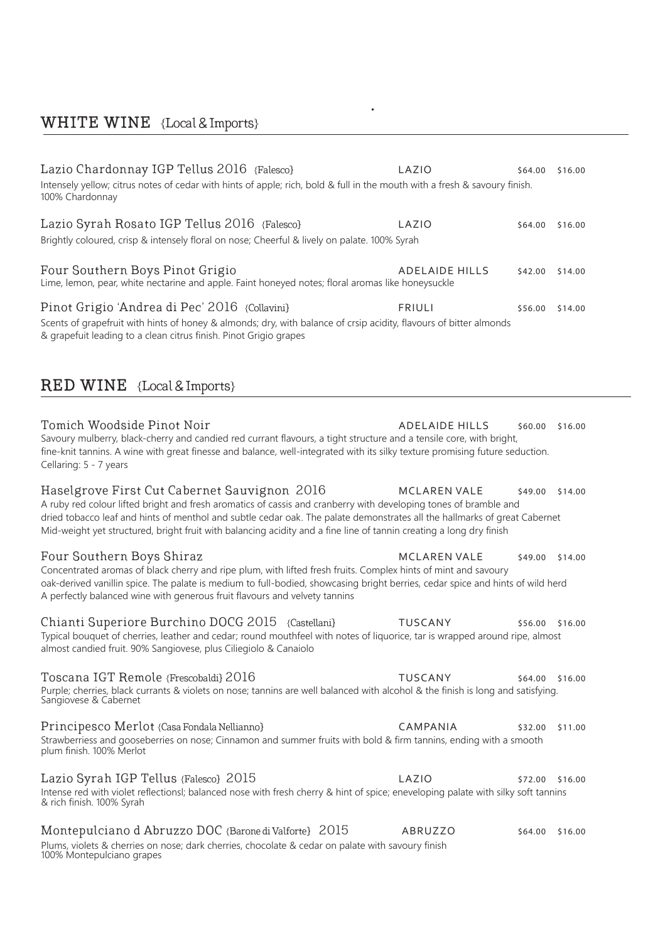# WHITE WINE {Local & Imports}

| Lazio Chardonnay IGP Tellus 2016 {Falesco}<br>Intensely yellow; citrus notes of cedar with hints of apple; rich, bold & full in the mouth with a fresh & savoury finish.<br>100% Chardonnay                                                                                                                                                                                                                          | LAZIO                 | \$64.00         | \$16.00 |
|----------------------------------------------------------------------------------------------------------------------------------------------------------------------------------------------------------------------------------------------------------------------------------------------------------------------------------------------------------------------------------------------------------------------|-----------------------|-----------------|---------|
| Lazio Syrah Rosato IGP Tellus 2016 {Falesco}<br>Brightly coloured, crisp & intensely floral on nose; Cheerful & lively on palate. 100% Syrah                                                                                                                                                                                                                                                                         | LAZIO                 | \$64.00         | \$16.00 |
| Four Southern Boys Pinot Grigio<br>Lime, lemon, pear, white nectarine and apple. Faint honeyed notes; floral aromas like honeysuckle                                                                                                                                                                                                                                                                                 | <b>ADELAIDE HILLS</b> | \$42.00         | \$14.00 |
| Pinot Grigio 'Andrea di Pec' 2016 {Collavini}<br>Scents of grapefruit with hints of honey & almonds; dry, with balance of crsip acidity, flavours of bitter almonds<br>& grapefuit leading to a clean citrus finish. Pinot Grigio grapes                                                                                                                                                                             | <b>FRIULI</b>         | \$56.00         | \$14.00 |
| <b>RED WINE</b> {Local & Imports}                                                                                                                                                                                                                                                                                                                                                                                    |                       |                 |         |
| Tomich Woodside Pinot Noir<br>Savoury mulberry, black-cherry and candied red currant flavours, a tight structure and a tensile core, with bright,<br>fine-knit tannins. A wine with great finesse and balance, well-integrated with its silky texture promising future seduction.<br>Cellaring: 5 - 7 years                                                                                                          | <b>ADELAIDE HILLS</b> | \$60.00         | \$16.00 |
| Haselgrove First Cut Cabernet Sauvignon 2016<br>A ruby red colour lifted bright and fresh aromatics of cassis and cranberry with developing tones of bramble and<br>dried tobacco leaf and hints of menthol and subtle cedar oak. The palate demonstrates all the hallmarks of great Cabernet<br>Mid-weight yet structured, bright fruit with balancing acidity and a fine line of tannin creating a long dry finish | <b>MCLAREN VALE</b>   | \$49.00         | \$14.00 |
| Four Southern Boys Shiraz<br>Concentrated aromas of black cherry and ripe plum, with lifted fresh fruits. Complex hints of mint and savoury<br>oak-derived vanillin spice. The palate is medium to full-bodied, showcasing bright berries, cedar spice and hints of wild herd<br>A perfectly balanced wine with generous fruit flavours and velvety tannins                                                          | <b>MCLAREN VALE</b>   | \$49.00         | \$14.00 |
| Chianti Superiore Burchino DOCG 2015 {Castellani}<br>Typical bouquet of cherries, leather and cedar; round mouthfeel with notes of liquorice, tar is wrapped around ripe, almost<br>almost candied fruit. 90% Sangiovese, plus Ciliegiolo & Canaiolo                                                                                                                                                                 | <b>TUSCANY</b>        | \$56.00         | \$16.00 |
| Toscana IGT Remole {Frescobaldi} 2016<br>Purple; cherries, black currants & violets on nose; tannins are well balanced with alcohol & the finish is long and satisfying.<br>Sangiovese & Cabernet                                                                                                                                                                                                                    | TUSCANY               | \$64.00         | \$16.00 |
| Principesco Merlot {Casa Fondala Nellianno}<br>Strawberriess and gooseberries on nose; Cinnamon and summer fruits with bold & firm tannins, ending with a smooth<br>plum finish. 100% Merlot                                                                                                                                                                                                                         | CAMPANIA              | \$32.00         | \$11.00 |
| Lazio Syrah IGP Tellus {Falesco} 2015<br>Intense red with violet reflectionsl; balanced nose with fresh cherry & hint of spice; eneveloping palate with silky soft tannins<br>& rich finish. 100% Syrah                                                                                                                                                                                                              | LAZIO                 | \$72.00         | \$16.00 |
| Montepulciano d Abruzzo DOC {Barone di Valforte} 2015<br>Plums, violets & cherries on nose; dark cherries, chocolate & cedar on palate with savoury finish<br>100% Montepulciano grapes                                                                                                                                                                                                                              | ABRUZZO               | \$64.00 \$16.00 |         |

 $\hat{\mathbf{r}}$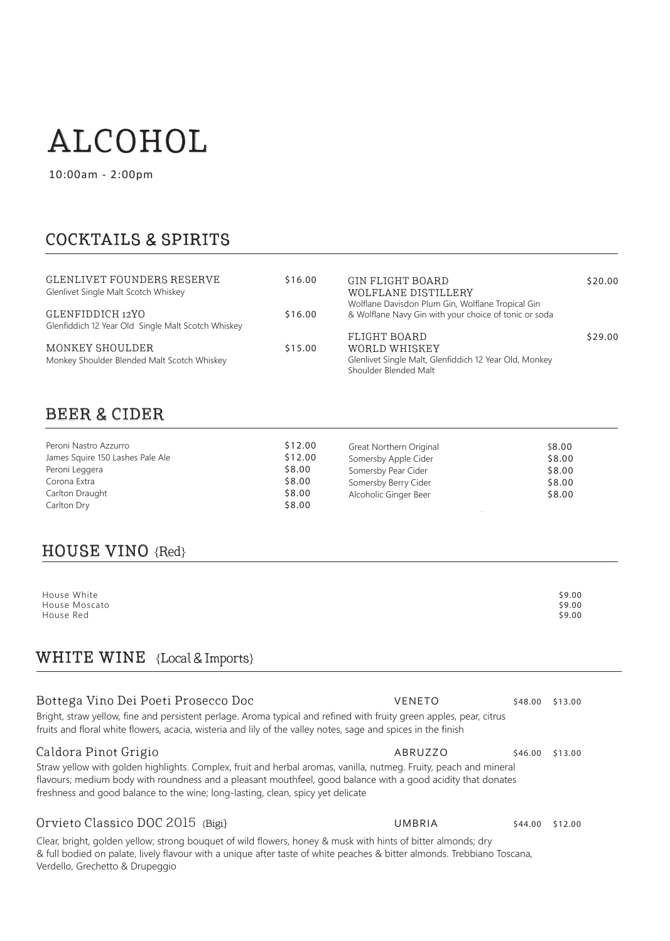# ALCOHOL

10:00am - 2:00pm

# COCKTAILS & SPIRITS

| GLENLIVET FOUNDERS RESERVE<br>Glenlivet Single Malt Scotch Whiskey | \$16.00 | GIN FLIGHT BOARD<br>WOLFLANE DISTILLERY                                                                    | \$20.00 |
|--------------------------------------------------------------------|---------|------------------------------------------------------------------------------------------------------------|---------|
| GLENFIDDICH 12YO                                                   | \$16.00 | Wolflane Davisdon Plum Gin, Wolflane Tropical Gin<br>& Wolflane Navy Gin with your choice of tonic or soda |         |
| Glenfiddich 12 Year Old Single Malt Scotch Whiskey                 |         |                                                                                                            |         |
|                                                                    |         | FLIGHT BOARD                                                                                               | \$29.00 |
| MONKEY SHOULDER                                                    | \$15.00 | WORLD WHISKEY                                                                                              |         |
| Monkey Shoulder Blended Malt Scotch Whiskey                        |         | Glenlivet Single Malt, Glenfiddich 12 Year Old, Monkey                                                     |         |
|                                                                    |         | Shoulder Blended Malt                                                                                      |         |

# BEER & CIDER

| Peroni Nastro Azzurro            | \$12.00 | Great Northern Original | \$8.00 |
|----------------------------------|---------|-------------------------|--------|
| James Squire 150 Lashes Pale Ale | \$12.00 | Somersby Apple Cider    | \$8.00 |
| Peroni Leggera                   | \$8.00  | Somersby Pear Cider     | \$8.00 |
| Corona Extra                     | \$8.00  | Somersby Berry Cider    | \$8.00 |
| Carlton Draught                  | \$8.00  | Alcoholic Ginger Beer   | \$8.00 |
| Carlton Dry                      | \$8.00  |                         |        |

## HOUSE VINO {Red}

| House White   | \$9.00 |
|---------------|--------|
| House Moscato | \$9.00 |
| House Red     | \$9.00 |

# WHITE WINE {Local & Imports}

| Bottega Vino Dei Poeti Prosecco Doc<br>Bright, straw yellow, fine and persistent perlage. Aroma typical and refined with fruity green apples, pear, citrus<br>fruits and floral white flowers, acacia, wisteria and lily of the valley notes, sage and spices in the finish                                                                  | <b>VENETO</b> | \$48.00 | \$13.00 |
|----------------------------------------------------------------------------------------------------------------------------------------------------------------------------------------------------------------------------------------------------------------------------------------------------------------------------------------------|---------------|---------|---------|
| Caldora Pinot Grigio<br>Straw yellow with golden highlights. Complex, fruit and herbal aromas, vanilla, nutmeg. Fruity, peach and mineral<br>flavours; medium body with roundness and a pleasant mouthfeel, good balance with a good acidity that donates<br>freshness and good balance to the wine; long-lasting, clean, spicy yet delicate | ABRUZZO       | \$46.00 | \$13.00 |
| Orvieto Classico DOC 2015 {Bigi}                                                                                                                                                                                                                                                                                                             | UMBRIA        | \$44.00 | \$12.00 |
| Clear, bright, golden yellow; strong bouquet of wild flowers, honey & musk with hints of bitter almonds; dry                                                                                                                                                                                                                                 |               |         |         |

& full bodied on palate, lively flavour with a unique after taste of white peaches & bitter almonds. Trebbiano Toscana, Verdello, Grechetto & Drupeggio